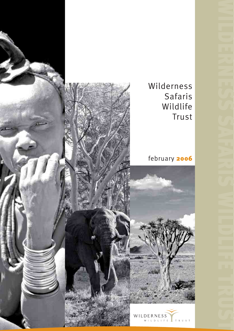# Wilderness Safaris Wildlife february 2006 WILDERNESS 1

Trust

 $U-S$  T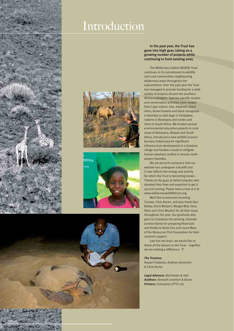

### Introduction







#### **In the past year, the Trust has gone into high gear, taking on a growing number of projects while continuing to fund existing ones.**

The Wilderness Safaris Wildlife Trust continues in its commitment to wildlife and rural communities neighbouring wilderness areas throughout the subcontinent. Over the past year the Trust has managed to provide funding for a wide variety of projects all over the southern African subregion. Species-specific studies and conservation activities have ranged from Cape vulture, lion, elephant, black rhino, brown hyaena and black mongoose in Namibia to wild dogs in Zimbabwe, rodents in Botswana and turtles and rhino in South Africa. We funded several environmental education projects in rural areas of Botswana, Malawi and South Africa, introduced a new wildlife/science bursary, helped pay for significant infrastructure development in a Zambian village and funded a study to mitigate human-elephant conflict in remote northeastern Namibia.

We are proud to announce that our website has undergone a facelift and it now reflects the energy and activity for which the Trust is becoming known. Thanks to the guys at HelloComputer who donated their time and expertise to get it up and running. Please have a look at it at www.wildernesswildlifetrust.org

We'd like to welcome incoming Trustee, Chris Roche, and also thank Don Bailey, Grant Wolpert, Margot Bell, Ilana Stein and Chris Mostert for all their input throughout the year. Our gratitude also goes to Colorpress for printing, Horwath Leveton Boner for preparing financials and finally to Amos Eno and Laura Mass of the Resources First Foundation for their constant support.

Last but not least, we would like to thank all the donors to the Trust – together we are making a difference.  $\check{\Upsilon}$ 

#### *The Trustees:*

*Russel Friedman, Andrew Leontsinis & Chris Roche*

*Legal Advisors: Bell Dewar & Hall Auditors: Horwath Levetton & Boner Printers: Colorpress (PTY) Ltd.*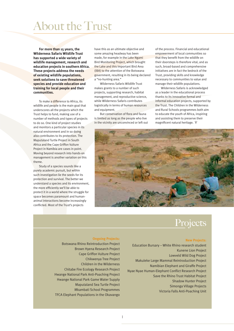## About the Trust

**For more than 15 years, the Wilderness Safaris Wildlife Trust has supported a wide variety of wildlife management, research and education projects in southern Africa. These projects address the needs of existing wildlife populations, seek solutions to save threatened species and provide education and training for local people and their communities.** 

To make a difference to Africa, its wildlife and people is the main goal that underscores all the projects which the Trust helps to fund, making use of a number of methods and types of projects to do so. One kind of project studies and monitors a particular species in its natural environment and in so doing also contributes to its protection. The Maputaland Turtle Project in South Africa and the Cape Griffon Vulture Project in Namibia are cases in point. Moving beyond research into hands-on management is another variation on this theme.

Study of a species sounds like a purely academic pursuit, but within such investigation lie the seeds for its protection and survival. The better we understand a species and its environment, the more efficiently we'll be able to protect it in a world where the struggle for space becomes paramount and humananimal interactions become increasingly conflicted. Most of the Trust's projects

have this as an ultimate objective and some amazing headway has been made, for example in the Lake Ngami Bird Monitoring Project, which brought the Lake and this Important Bird Area (IBA) to the attention of the Botswana government, resulting in its being declared a "no-hunting area."

Wilderness Safaris Wildlife Trust makes grants to a number of such projects, supporting research, habitat management, and reproductive science, while Wilderness Safaris contributes logistically in terms of human resources and equipment.

But conservation of flora and fauna is limited as long as the people who live in the vicinity are unconvinced or left out of the process. Financial and educational empowerment of local communities so that they benefit from the wildlife on their doorsteps is therefore vital, and as such, broad-based and comprehensive initiatives are in fact the bedrock of the Trust, providing skills and knowledge necessary to communities to value and manage their wildlife populations.

Wilderness Safaris is acknowledged as a leader in the educational process thanks to its innovative formal and informal education projects, supported by the Trust. The Children in the Wilderness and Rural Schools programmes both aim to educate the youth of Africa, inspiring and assisting them to preserve their magnificent natural heritage.  $\tilde{\mathbb{Y}}$ 



### Projects

#### **New Projects:**

Education Bursary – White Rhino research student Kunene Lion Project Lowveld Wild Dog Project Makuleke Large Mammal Reintroduction Project Namibian Elephant and Giraffe Project Nyae Nyae Human-Elephant Conflict Research Project Save the Rhino Trust Habitat Project Shadow Hunter Project Simonga Village Projects Victoria Falls Anti-Poaching Unit

#### **Ongoing Projects:**

Botswana Rhino Reintroduction Project Brown Hyena Research Project Cape Griffon Vulture Project Chikwenya Tree Project Children in the Wilderness Chitabe Fire Ecology Research Project Hwange National Park Anti-Poaching Project Hwange National Park Game Water Supply Maputaland Sea Turtle Project Mkambati School Programmes TFCA Elephant Populations in the Okavango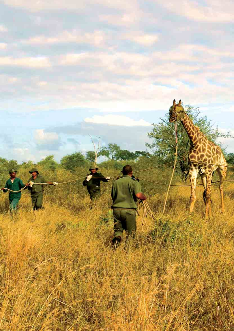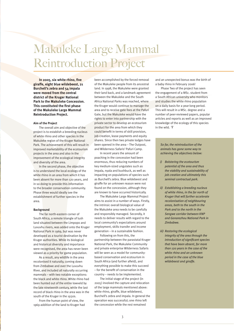# Makuleke Large Mammal Reintroduction Project

**In 2005, six white rhino, five giraffe, eight blue wildebeest, 21 Burchell's zebra and 54 impala were moved from the central district of the Kruger National Park to the Makuleke Concession. This constituted the first phase of the Makuleke Large Mammal Reintroduction Project.**

#### **Aim of the Project**

The overall aim and objective of the project is to establish a breeding nucleus of white rhino and other species in the Makuleke region of the Kruger National Park. The achievement of this will result in improved marketability of the ecotourism projects in the area and also in the improvement of the ecological integrity and diversity of the area.

In the second phase, the objective is to understand the local ecology of the white rhino in an area from which it has been absent for more than 120 years, and in so doing to provide this information to the broader conservation community. Phase three would ideally see the establishment of further species in the area.

#### **Background**

The far north-eastern corner of South Africa, a remote triangle of lush land situated between the Limpopo and Luvuvhu rivers, was added onto the Kruger National Park in 1969, but was never developed as a tourist destination by the Kruger authorities. While its biological and historical diversity and importance were recognised, the area has never been viewed as a priority for game population.

As a result, any wildlife in the area recolonised it naturally, coming down from Zimbabwe and over the Luvuvhu River, and included all naturally occurring mammals – with two notable exceptions: the black and white rhino. White rhino had been hunted out of the entire lowveld by the late nineteenth century, while the last record of black rhino in the area was in the south of the Kruger in the 1930s.

From the human point of view, the 1969 addition of the land to Kruger had been accomplished by the forced removal of the Makuleke people from its ancestral land. In 1998, the Makuleke were granted their land back, and a landmark agreement between the Makuleke and the South Africa National Parks was reached, where the Kruger would continue to manage the area and to receive gate fees at the Pafuri Gate, but the Makuleke would have the rights to enter into partnership with the private sector to develop an ecotourism product for the area from which they could benefit in terms of skill provision. job creation, lease payments and equity shares. Since then two private lodges have been opened in the area – The Outpost, and Wilderness Safaris' Pafuri Camp.

In recent years the amount of poaching in the concession had been enormous, thus reducing numbers of key medium-sized ungulates such as impala, nyala and bushbuck, as well as impacting on populations of species such as Burchell's zebra. Blue wildebeest and giraffe for an unknown reason were not found on the concession, although they are known to have occurred historically.

The Makuleke Large Mammal Project aims to assist in a number of ways. Firstly, the intrinsic overall biological value of the Makuleke area needs to be carefully and responsibly managed. Secondly, it needs to deliver results with regard to the local community's expectations around employment, skills transfer and income generation – in a sustainable fashion.

Following on from this, the partnership between the parastatal Kruger National Park, the Makuleke Community and private enterprise Wilderness Safaris will be seen as a model for communitybased conservation and ecotourism in South Africa (and further afield), and everything possible to make this succeed  $-$  for the benefit of conservation in the country – needs to be implemented.

The initial stage of the project (in 2005) involved the capture and relocation of the large mammals mentioned above: white rhino, giraffe, blue wildebeest, Burchell's zebra and impala. In general the operation was successful; one rhino left the concession while the rest remained

and an unexpected bonus was the birth of a baby rhino in February 2006!

Phase Two of the project has seen the engagement of a MSc. student from a South African university who monitors and studies the white rhino population on a daily basis for a year-long period. This will result in a MSc. degree and a number of peer-reviewed papers, popular articles and reports as well as an improved knowledge of the ecology of this species in the wild  $\tilde{\mathbf{Y}}$ 

*So far, the reintroduction of the animals has gone some way to achieving the objectives below:*

- *i) Bolstering the ecotourism potential of the area and thus the viability and sustainability of job creation and ultimately this seminal contractual park.*
- *ii) Establishing a breeding nucleus of white rhino, in the far north of Kruger that will further accelerate recolonisation of neighbouring areas, both to the south in the Park and to the north in the Sengwe corridor between KNP and Gonarezhou National Park in Zimbabwe.*
- *iii) Restoring the ecological integrity of the area through the introduction of significant species that have been absent, for more than 120 years in the case of the white rhino and an unknown period in the case of the blue wildebeest and giraffe.*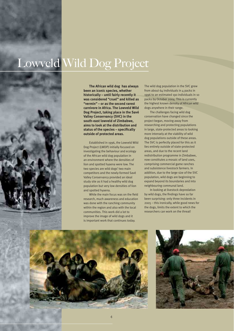# Lowveld Wild Dog Project

**The African wild dog has always been an iconic species, whether historically – until fairly recently it was considered "cruel" and killed as "vermin" – or as the second rarest carnivore in Africa. The Lowveld Wild Dog Project, taking place in the Savé Valley Conservancy (SVC) in the south-east lowveld of Zimbabwe, aims to look at the distribution and**  status of the species - specifically **outside of protected areas.**

Established in 1996, the Lowveld Wild Dog Project (LWDP) initially focused on investigating the behaviour and ecology of the African wild dog population in an environment where the densities of lion and spotted hyaena were low. The two species are wild dogs' two main competitors and the newly-formed Savé Valley Conservancy provided an ideal study site as it had a healthy wild dog population but very low densities of lion and spotted hyaena.

While the main focus was on the field research, much awareness and education was done with the ranching community within the region and also with the local communities. This work did a lot to improve the image of wild dogs and it is important work that continues today.

The wild dog population in the SVC grew from about 64 individuals in 4 packs in 1996 to an estimated 190 individuals in 10 packs by October 2004. This is currently the highest known density of African wild dogs anywhere in their range.

The challenges facing wild dog conservation have changed since the project began, moving away from researching and protecting populations in large, state-protected areas to looking more intensely at the viability of wild dog populations outside of these areas. The SVC is perfectly placed for this as it lies entirely outside of state-protected areas, and due to the recent land redistribution programme in Zimbabwe, now constitutes a mosaic of land uses, comprising commercial game ranches and subsistence livestock farmers. In addition, due to the large size of the SVC population, wild dogs are beginning to expand beyond its boundaries and into neighbouring communal land.

In looking at livestock depredation by wild dogs, the findings have so far been surprising: only three incidents in 2005 – this ironically, while good news for the dogs, limits the extent to which the researchers can work on the threat!



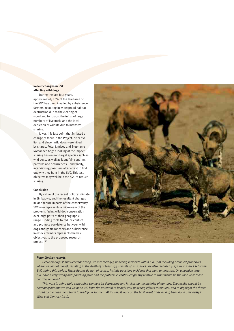#### **Recent changes in SVC affecting wild dogs**

During the last four years, approximately 26% of the land area of the SVC has been invaded by subsistence farmers, resulting in widespread habitat destruction due to the clearing of woodland for crops, the influx of large numbers of livestock, and the local depletion of wildlife due to intensive snaring.

It was this last point that initiated a change of focus in the Project. After five lion and eleven wild dogs were killed by snares, Peter Lindsey and Stephanie Romanach began looking at the impact snaring has on non-target species such as wild dogs, as well as identifying snaring patterns and occurrences - and finally, interviewing poachers after arrest to find out why they hunt in the SVC. This last objective may well help the SVC to reduce snaring.

#### **Conclusion**

By virtue of the recent political climate in Zimbabwe, and the resultant changes in land tenure in parts of the conservancy, SVC now represents a microcosm of the problems facing wild dog conservation over large parts of their geographic range. Finding tools to reduce conflict and promote coexistence between wild dogs and game ranchers and subsistence livestock farmers represents the key objectives to the proposed research project.  $\check{\Upsilon}$ 



#### *Peter Lindsey reports:*

*Between August and December 2005, we recorded 449 poaching incidents within SVC (not including occupied properties where we cannot move), resulting in the death of at least 295 animals of 22 species. We also recorded 3 272 new snares set within SVC during this period. These figures do not, of course, include poaching incidents that went undetected. On a positive note, SVC have a very strong anti-poaching force and the problem is controlled greatly relative to what would be the case were those controls removed.*

*This work is going well, although it can be a bit depressing and it takes up the majority of our time. The results should be extremely informative and we hope will have the potential to benefit anti-poaching efforts within SVC, and to highlight the threat posed by the bush meat trade to wildlife in southern Africa (most work on the bush meat trade having been done previously in West and Central Africa).*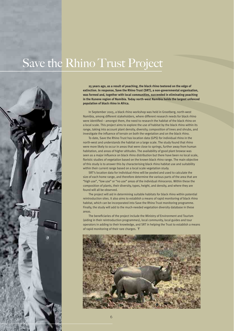# Save the Rhino Trust Project



**25 years ago, as a result of poaching, the black rhino teetered on the edge of extinction. In response, Save the Rhino Trust (SRT), a non-governmental organisation, was formed and, together with local communities, succeeded in eliminating poaching in the Kunene region of Namibia. Today north-west Namibia holds the largest unfenced population of black rhino in Africa.** 

In September 2005, a black rhino workshop was held in Grootberg, north-west Namibia, among different stakeholders, where different research needs for black rhino were identified – amongst them, the need to research the habitat of the black rhino on a local scale. This project aims to explore the use of habitat by the black rhino within its range, taking into account plant density, diversity, composition of trees and shrubs, and investigate the influence of terrain on both the vegetation and on the black rhino.

To date, Save the Rhino Trust has location data (GPS) for individual rhino in the north-west and understands the habitat on a large scale. The study found that rhino were more likely to occur in areas that were close to springs, further away from human habitation, and areas of higher altitudes. The availability of good plant browse was seen as a major influence on black rhino distribution but there have been no local scale, floristic studies of vegetation based on the known black rhino range. The main objective of this study is to answer this by characterising black rhino habitat use and suitability within their current range based on a local scale vegetation study.

SRT's location data for individual rhino will be pooled and used to calculate the size of each home range, and therefore determine the various parts of the area that are "high use", "low use" or "no use" areas of the individual rhinoceros. Within these the composition of plants, their diversity, types, height, and density, and where they are found will all be observed.

The project will aid in determining suitable habitats for black rhino within potential reintroduction sites. It also aims to establish a means of rapid monitoring of black rhino habitat, which can be incorporated into Save the Rhino Trust monitoring programme. Finally, the study will add to the much-needed vegetation diversity database in these areas.

The beneficiaries of the project include the Ministry of Environment and Tourism (aiding in their reintroduction programmes), local community, local guides and tour operators in adding to their knowledge, and SRT in helping the Trust to establish a means of rapid monitoring of their rare charges.  $\check{\gamma}$ 

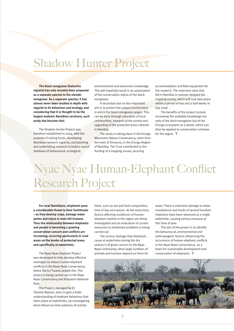### Shadow Hunter Project

**The black mongoose (Galerella nigrata) has only recently been proposed as a separate species to the slender mongoose. As a separate species, it has almost never been studied in depth with regards to its behaviour and ecology, and considering that it is thought to be the largest endemic Namibian carnivore, such study has become vital.**

The Shadow Hunter Project was therefore established in 2004, with the purpose of raising funds, developing Namibian research capacity, and planning and undertaking research to build a sound database of behavioural, ecological,

environmental and taxonomic knowledge. This will hopefully result in an assessment of the conservation status of the black mongoose.

A secondary but no less important aim is to protect the unique environment in which the black mongoose ranges. This can be done through education of local communities, research of the animal and upgrading of the protected areas network in Namibia.

The study is taking place in the Erongo Mountains Nature Conservancy, 10km from the town of Omaruru, in the Erongo Region of Namibia. The Trust contributed to the funding of a trapping survey, securing

accommodation and field equipment for the research. The extensive rains that fell in Namibia in summer delayed the trapping survey, which will now take place within a period of two and a half weeks in July 2006.

The benefits of the project include increasing the available knowledge not only of the black mongoose but of the Erongo ecosystem as a whole, which can then be applied to conservation schemes for the region.  $\check{\Upsilon}$ 

# Nyae Nyae Human-Elephant Conflict Research Project

**For rural Namibians, elephants pose a considerable threat to their livelihoods – as they destroy crops, damage water points and injure or even kill humans. Thus the relationship between elephants and people is becoming a growing conservation concern and confl icts are increasing, occurring particularly in rural areas on the border of protected areas**  and specifically at waterholes.

The Nyae Nyae Elephant Project was developed to help develop effective strategies to reduce human-elephant conflicts in the Nyae Nyae Conservancy, where the Ju/'hoansi people live. This project is being carried out in the Nyae Nyae Conservancy and Khaudum National Park.

The Project, managed by Dr Tammie Matson, aims to gain a fuller understanding of elephant behaviour that takes place at waterholes, by investigating what influences their patterns of activity

there, such as sex and herd composition, time of day and season. At the same time, factors affecting incidences of humanelephant clashes in the region are being investigated and an evaluation of current measures to ameliorate problems is being carried out.

The serious damage that elephants cause at waterholes during the dry season is of great concern to the Nyae Nyae community, when large numbers of animals and humans depend on them for water. There is extensive damage to water installations and herds of several hundred elephants have been observed at a single waterhole, causing serious pressure at this time of year.

The aim of the project is to identify the behavioural, environmental and anthropogenic factors influencing the occurrence of human-elephant conflicts in the Nyae Nyae Conservancy, as a basis for sustainable development and conservation of elephants.

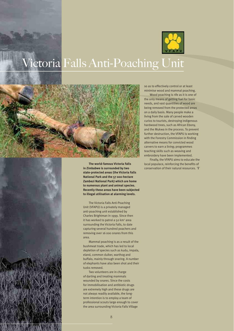

# Victoria Falls Anti-Poaching Unit



**The world-famous Victoria Falls in Zimbabwe is surrounded by two state-protected areas (the Victoria Falls National Park and the 57 000-hectare Zambezi National Park) which are home to numerous plant and animal species. Recently these areas have been subjected to illegal utilisation at alarming levels.**

The Victoria Falls Anti-Poaching Unit (VFAPU) is a privately managed anti-poaching unit established by Charles Brightman in 1999. Since then it has worked to patrol a 50 km<sup>2</sup> area surrounding the Victoria Falls, to date capturing several hundred poachers and removing over 16 000 snares from this area.

Mammal poaching is as a result of the bushmeat trade, which has led to local depletion of species such as kudu, impala, eland, common duiker, warthog and buffalo, mainly through snaring. A number of elephants have also been shot and their tusks removed.

Two volunteers are in charge of darting and treating mammals wounded by snares. Since the costs for immobilisation and antibiotic drugs are extremely high and these drugs are not always readily available, the longterm intention is to employ a team of professional scouts large enough to cover the area surrounding Victoria Falls Village so as to effectively control or at least minimise wood and mammal poaching.

Wood poaching is rife as it is one of the only means of getting fuel for basic needs, and vast quantities of wood are being removed from the protected areas on a daily basis. Many people make a living from the sale of carved wooden curios to tourists, destroying indigenous hardwood trees, such as African Ebony, and the Mukwa in the process. To prevent further destruction, the VFAPU is working with the Forestry Commission in finding alternative means for convicted wood carvers to earn a living; programmes teaching skills such as weaving and embroidery have been implemented.

Finally, the VFAPU aims to educate the local populace, reinforcing the benefits of conservation of their natural resources.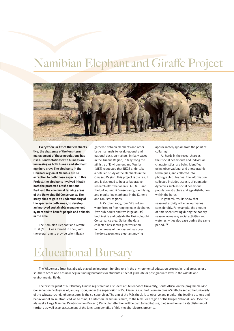# Namibian Elephant and Giraffe Project



**Everywhere in Africa that elephants live, the challenge of the long-term management of these populations has risen. Confrontations with humans are increasing as both human and elephant numbers grow. The elephants in the Omusati Region of Namibia are no exception to both these aspects. In this Project, the elephants involved inhabit both the protected Etosha National Park and the communal farming areas of the Uukwuluudhi Conservancy. The study aims to gain an understanding of the species in both areas, to develop an improved sustainable management**  system and to benefit people and animals **in the area.**

The Namibian Elephant and Giraffe Trust (NEGT) was formed in 2001, with the overall aim to provide scientifically

gathered data on elephants and other large mammals to local, regional and national decision-makers. Initially based in the Kunene Region, in May 2005 the Ministry of Environment and Tourism (MET) requested that NEGT undertake a detailed study of the elephants in the Omusati Region. This project is the result and is designed to be a collaborative research effort between NEGT, MET and the Uukwuluudhi Conservancy, identifying and monitoring elephants in the Kunene and Omusati regions.

In October 2005, four GPS collars were fitted to free-ranging male elephants (two sub-adults and two large adults), both inside and outside the Uukwuluudhi Conservancy area. So far, the data collected has shown great variation in the ranges of the four animals over the dry season, one elephant moving

approximately 150km from the point of collaring!

All herds in the research areas, their social behaviours and individual characteristics, are being identified using observational and photographic techniques, and collected into photographic libraries. The information collected includes aspects of population dynamics such as social behaviour, population structure and age distribution within the herds.

In general, results show that seasonal activity of behaviour varies considerably. For example, the amount of time spent resting during the hot dry season increases; social activities and water activities decrease during the same period.  $\check{\Upsilon}$ 

# Educational Bursary

The Wilderness Trust has already played an important funding role in the environmental education process in rural areas across southern Africa and has now begun funding bursaries for students either at graduate or post graduate level in the wildlife and environmental fields.

The first recipient of our Bursary Fund is registered as a student at Stellenbosch University, South Africa, on the programme MSc Conservation Ecology as of January 2006, under the supervision of Dr. Alison Leslie. Prof. Norman Owen-Smith, based at the University of the Witwatersrand, Johannesburg, is the co-supervisor. The aim of the MSc thesis is to observe and monitor the feeding ecology and behaviour of six reintroduced white rhino, Ceratotherium simum simum, to the Makuleke region of the Kruger National Park. (See the Makuleke Large Mammal Reintroduction Project.) Particular attention will be paid to habitat use, diet selection and establishment of territory as well as an assessment of the long-term benefits of this megaherbivore's presence.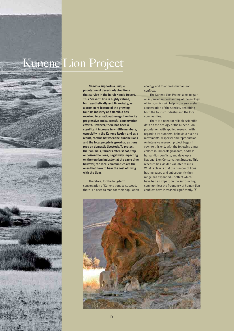

**Namibia supports a unique population of desert-adapted lions that survive in the harsh Namib Desert. This "desert" lion is highly valued, both aesthetically and financially, as a prominent feature of the growing tourism industry and Namibia has received international recognition for its progressive and successful conservation efforts. However, there has been a**  significant increase in wildlife numbers. **especially in the Kunene Region and as a result, conflict between the Kunene lions and the local people is growing, as lions prey on domestic livestock. To protect their animals, farmers often shoot, trap or poison the lions, negatively impacting on the tourism industry; at the same time however, the local communities are the ones that have to bear the cost of living with the lions.**

Therefore, for the long-term conservation of Kunene lions to succeed, there is a need to monitor their population ecology and to address human-lion conflicts.

The Kunene Lion Project aims to gain an improved understanding of the ecology of lions, which will help in the successful conservation of the species, benefiting both the tourism industry and the local communities.

There is a need for reliable scientific data on the ecology of the Kunene lion population, with applied research with regard to its numbers, behaviour such as movements, dispersal and reproduction. An intensive research project began in 1999 to this end, with the following aims: collect sound ecological data, address human-lion conflicts, and develop a National Lion Conservation Strategy. This research has yielded valuable results. What is clear is that the number of lions has increased and subsequently their range has expanded – both of which have had an impact on the surrounding communities: the frequency of human-lion conflicts have increased significantly.  $\check{\Upsilon}$ 

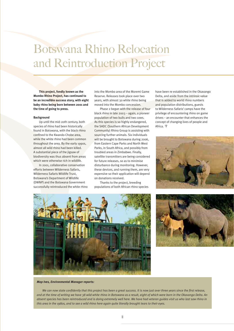# Botswana Rhino Relocation and Reintroduction Project

**This project, fondly known as the Mombo Rhino Project, has continued to be an incredible success story, with eight baby rhino being born between 2001 and the time of going to press.** 

#### **Background**

Up until the mid-20th century, both species of rhino had been historically found in Botswana, with the black rhino confined to the Kwando-Chobe area. while the white rhino had been common throughout the area. By the early 1990s, almost all wild rhino had been killed. A substantial piece of the jigsaw of biodiversity was thus absent from areas which were otherwise rich in wildlife.

In 2001, collaborative conservation efforts between Wilderness Safaris, Wilderness Safaris Wildlife Trust, Botswana's Department of Wildlife (DWNP) and the Botswana Government successfully reintroduced the white rhino into the Mombo area of the Moremi Game Reserve. Releases took place over two years, with almost 30 white rhino being moved into the Mombo concession.

Phase 2 began with the release of four black rhino in late 2003 – again, a pioneer population of two bulls and two cows. As this species is so highly endangered, the SADC (Southern African Development Community) Rhino Group is assisting with sourcing further animals. Six individuals will be brought to Botswana during 2006, from Eastern Cape Parks and North West Parks, in South Africa, and possibly from troubled areas in Zimbabwe. Finally, satellite transmitters are being considered for future releases, so as to minimise disturbance during monitoring. However, these devices, and running them, are very expensive so their application will depend on donations received.

Thanks to the project, breeding populations of both African rhino species have been re-established in the Okavango Delta, and aside from the intrinsic value that is added to world rhino numbers and population distributions, guests to Wilderness Safaris' camps have the privilege of encountering rhino on game drives – an encounter that enhances the concept of changing lives of people and Africa.  $\check{\Upsilon}$ 







#### *Map Ives, Environmental Manager reports:*

We can now state confidently that this project has been a great success. It is now just over three years since the first release, *and at the time of writing we have 38 wild white rhino in Botswana as a result, eight of which were born in the Okavango Delta. An absent species has been reintroduced and is doing extremely well here. We have had veteran guides visit us who last saw rhino in this area in the 1980s, and to see a wild rhino here again quite literally brought tears to their eyes.*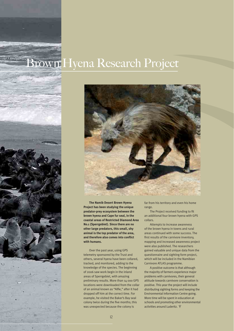## Brown Hyena Research Project





**The Namib Desert Brown Hyena Project has been studying the unique predator-prey ecosystem between the brown hyena and Cape fur seal, in the coastal areas of Restricted Diamond Area No.1 (Sperrgebiet). Since there are no other large predators, this small, shy animal is the top predator of the area,**  and therefore also comes into conflict **with humans.** 

Over the past year, using GPS telemetry sponsored by the Trust and others, several hyena have been collared, tracked, and monitored, adding to the knowledge of the species. The beginning of 2006 saw work begin in the inland areas of Sperrgebiet, with amazing preliminary results. More than 14 000 GPS locations were downloaded from the collar of an animal known as "Alfie," after it had dropped off him at the correct time. For example, he visited the Baker's Bay seal colony twice during the five months; this was unexpected because the colony is

far from his territory and even his home range.

The Project received funding to fit an additional four brown hyena with GPS collars.

Attempts to increase awareness of the brown hyena in towns and rural areas continued with some success. The first results of the carnivore inventory. mapping and increased awareness project were also published. The researchers gained valuable and unique data from the questionnaire and sighting form project, which will be included in the Namibian Carnivore ATLAS programme.

A positive outcome is that although the majority of farmers experience major problems with carnivores, their general attitude towards carnivore conservation is positive. This year the project will include distributing sighting forms and keeping the Environmental Information Centre going. More time will be spent in education at schools and promoting other environmental activities around Luderitz.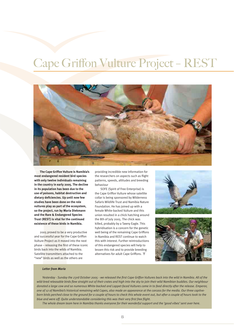# Cape Griffon Vulture Project - REST



**The Cape Griffon Vulture is Namibia's most endangered resident bird species with only twelve individuals remaining in the country in early 2005. The decline in its population has been due to the use of poisons, habitat destruction and**  dietary deficiencies. Up until now few **studies have been done on the role vultures play as part of the ecosystem, so the project, run by Maria Diekmann and the Rare & Endangered Species Trust (REST) is vital for the continued existence of these birds in Namibia.**

2005 proved to be a very productive and successful year for the Cape Griffon Vulture Project as it moved into the next phase – releasing the first of these iconic birds back into the wilds of Namibia. Satellite transmitters attached to the "new" birds as well as the others are

providing incredible new information for the researchers on aspects such as flight patterns, speeds, altitudes and breeding behaviour

SOFE (Spirit of Free Enterprise) is the Cape Griffon Vulture whose satellite collar is being sponsored by Wilderness Safaris Wildlife Trust and Namibia Nature Foundation. He has joined up with a female White-backed Vulture and this union resulted in a chick hatching around the 8th of July 2005. The chick was killed, probably by a Tawny Eagle. This hybridisation is a concern for the genetic well being of the remaining Cape Griffons in Namibia and REST continue to watch this with interest. Further reintroductions of this endangered species will help to lessen this risk and to provide breeding alternatives for adult Cape Griffons.





#### *Letter from Maria*

Yesterday - Sunday the 23rd October 2005 - we released the first Cape Griffon Vultures back into the wild in Namibia. All of the wild-bred releasable birds flew straight out of their crates and high into the sky to join their wild Namibian buddies. Our neighbour *donated a large cow and so numerous White-backed and Lappet-faced Vultures came in to feed directly after the release. Emperor, one of 12 of Namibia's historical remaining wild Capes, also made an appearance at the carcass for the media. Our three captiveborn birds perched close to the ground for a couple of hours to check this whole event out, but after a couple of hours took to the*  blue and were off. Quite understandable considering this was their very first free flight.

*The whole dream team here in Namibia thanks everyone for their wonderful support and the 'good vibes' sent over here.*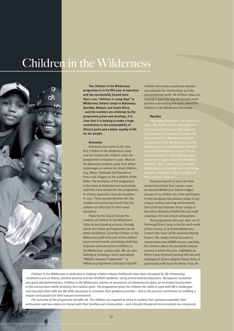## Children in the Wilderness



**The Children in the Wilderness programme is in its fifth year of operation and has successfully hosted more than 7 000 "children-in-camp days" in Wilderness Safaris camps in Botswana, Namibia, Malawi, and South Africa – and the numbers are climbing! As the programme grows and develops, it is clear that it is helping to make a huge contribution to the sustainability of Africa's parks and a better quality of life for her people.**

#### **Botswana**

Botswana was home to the very first Children in the Wilderness camp and has hosted 580 children since the programme's inception in 2001. Most of the Batswana children come from either orphanages or centres for street children (e.g. Maun, Shakawe and Kasane) or from rural villages on the outskirts of the Delta. The backbone of the programme is the team of dedicated and passionate staff who have worked for the programme in various capacities since its inception in 2001. These people become the role models and mentoring friends that the children so often lack in their home situations.

Plans for the future include the creation of Children in the Wilderness Clubs at participating schools, through which the Follow-up Programme can be better facilitated. Currently Children in the Wilderness staff visit each of the children every second month, providing a half-day of games and education in Children in the Wilderness' unique style. We are also looking at initiating a more specialised "Wildlife Steward Programme" – a follow-up programme catering to specific

children who show a particular passion and aptitude for conservation and the environmental world. All of these ideas are helping to pave the way for an even more positive and exciting few years ahead for Children in the Wilderness Botswana.

#### **Namibia**

*"My name is Johanna. I am a girl of 13 I am orphaned girl. In my life I believed favourite plant is Welwitchia mirabilis was the arts and craft because I learned* 

Since our launch in 2002 we have conducted at least four camps a year at selected Wilderness Safaris lodges. Groups of 24 children at a time participate in well-designed educational camps in our unique outdoor learning environments. One of the key features of our camps is the ethnic diversity of both kids and staff, creating a rich and vibrant atmosphere.

The programmes this year were run at Palmwag Rhino Camp in the far north-west of the country, or at Kulala Wilderness Camp in the heart of the awesome Namib Desert. The camps mainly focused on conservation and wildlife issues, teaching the children about the wonderful diverse country in which they live. Highlights at Rhino Camp involved tracking the rare and endangered desert-adapted black rhino, in partnership with Save the Rhino Trust. At

*Children in the Wilderness is dedicated to helping children whose childhoods have been disrupted by life-threatening conditions such as illness, extreme poverty and the HIV/AIDS epidemic. Using environmental education, therapeutic recreation and good old-fashioned fun, Children in the Wilderness creates an awareness of interpersonal skills, an increased involvement*  in the environment whilst fostering the creative spirit. The programme gives the children the skills to cope with life's challenges *and educates them with the life skills necessary to actualise their greatest potential – and in the process contributes to instilling a respect and passion for their natural environment.*

The outcome of the programme benefits all. The children are inspired to strive to achieve their greatest potential; their *enthusiasm and new ideas are shared with their families and communities – and critically threatened environments are conserved.*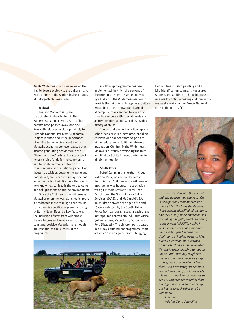Kulala Wilderness Camp we revealed the fragile desert ecology to the children, and visited some of the world's highest dunes at unforgettable Sossusvlei.

#### **Malawi**

Lonjezo Madyero is 13 and participated in the Children in the Wilderness camp at Mvuu. Both of her parents have passed away, and she lives with relatives in close proximity to Liwonde National Park. While at camp, Lonjezo learned about the importance of wildlife to the environment and to Malawi's economy. Lonjezo realised that income-generating activities like the "Liwonde Ladies" arts and crafts project helps to raise funds for the community and to create harmony between the communities and the national parks. Her favourite activities became the game and boat drives, and since attending, she has joined her school wildlife club. Her friends now know that Lonjezo is the one to go to and ask questions about the environment!

Since the Children in the Wilderness Malawi programme was launched in 2003, it has hosted more than 350 children. Its curriculum is specifically geared to using skills in village life and a key feature is the inclusion of staff from Wilderness Safaris lodges and local areas: strong, constant, positive Malawian role models are essential to the success of the programme.

A follow-up programme has been implemented, in which the patrons of the orphan care centres are employed by Children in the Wilderness Malawi to provide the children with regular activities, expanding on the knowledge learned at camp. Patrons can then follow up on specific campers with special needs such as HIV-positive campers, or those with a history of abuse.

The second element of follow-up is a school scholarship programme, enabling children who cannot afford to go on to higher education to fulfil their dreams of graduation. Children in the Wilderness Malawi is currently developing the third and final part of its follow-up  $-$  in the field of job mentorship.

#### **South Africa**

Pafuri Camp, in the northern Kruger National Park, was where the latest South African Children in the Wilderness programme was hosted, in association with 5 FM radio station's Teddy Bear Patrol 2005, the South African Police Services (SAPS), and McDonald's SA. 30 children between the ages of 10 and 16 were selected by the South African Police from various shelters in each of the metropolitan centres around South Africa (Johannesburg, Cape Town, Durban and Port Elizabeth). The children participated in a 6-day edutainment programme, with activities such as game drives, hugging



baobab trees, T-shirt painting and a bird identification course. It was a great success and Children in the Wilderness intends to continue hosting children in the Makuleke region of the Kruger National Park in the future.



*I was dazzled with the creativity and intelligence they showed… On Quiz Night they remembered not one, but ALL the trees they'd seen, they correctly identified all the dung, and they lustily made animal noises (including a buffalo, which according to them went "MOO!"). Again, I was humbled at the assumptions I had made… just because they don't go to school every day… I feel humbled at what I have learned from these children. I have no idea if I taught them anything (although I hope I did), but they taught me over and over how much we judge others, have preconceived ideas of them. And how wrong we can be. I learned how being out in the wilds allows us to heal, encourages us to see our commonalities rather than our differences and so to open up our hearts to each other and be vulnerable.* 

*Ilana Stein – Pafuri Camp Councillor*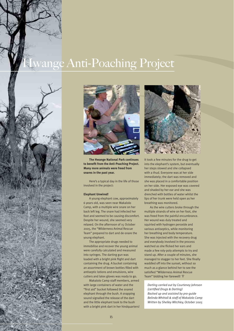# Hwange Anti-Poaching Project





**The Hwange National Park continues**  to benefit from the Anti-Poaching Project. **Many more animals were freed from snares in the past year.**

Here's a typical day in the life of those involved in the project:

#### **Elephant Unwired!**

A young elephant cow, approximately 6 years old, was seen near Makalolo Camp, with a multiple wire snare on her back left leg. The snare had infected her foot and seemed to be causing discomfort. Despite her wound, she seemed very relaxed. On the afternoon of 15 October 2005, the "Wilderness Animal Rescue Team" prepared to dart and de-snare the young elephant.

The appropriate drugs needed to immobilise and recover the young animal were carefully calculated and measured into syringes. The darting gun was loaded with a bright pink flight and dart containing the drug. A bucket containing an assortment of brown bottles filled with antiseptic lotions and emulsions, wire cutters and latex gloves was ready to go.

Makalolo Camp staff members, armed with large containers of water and the "first aid" bucket followed the snared elephant through the bush. A snapping sound signalled the release of the dart and the little elephant took to the bush with a bright pink dart in her hindquarters!



It took a few minutes for the drug to get into the elephant's system, but eventually her steps slowed and she collapsed with a thud. Everyone was at her side immediately; the dart was removed and she was placed in a comfortable position on her side. Her exposed eye was covered and shaded by her ear and she was drenched with bottles of water whilst the lips of her trunk were held open as her breathing was monitored.

As the wire cutters broke through the multiple strands of wire on her foot, she was freed from the painful encumbrance. Her wound was duly treated and squirted with hydrogen peroxide and various antiseptics, while monitoring her breathing and body temperature. She was injected with the recovery drug and everybody involved in the process watched as she flicked her ears and made a few roly-poly attempts to try and stand up. After a couple of minutes, she managed to stagger to her feet. She finally waddled off into the sunset, without so much as a glance behind her to see the satisfied "Wilderness Animal Rescue Team" bidding her farewell!

*Darting carried out by Courteney Johnson (certified Drugs & Darting) Backed up and assisted by pro-guide Belinda Whittall & staff of Makalolo Camp Written by Shelley Mitchley, October 2005*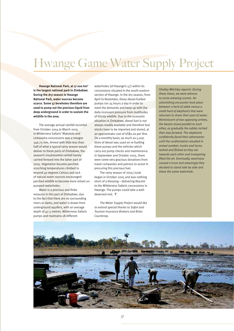# Hwange Game Water Supply Project

**Hwange National Park, at 17 000 km2 is the largest national park in Zimbabwe. During the dry season in Hwange National Park, water sources become scarce. Some 57 boreholes therefore are used to pump out the precious liquid from deep underground in order to sustain the wildlife in the area.** 

The average annual rainfall recorded from October 2004 to March 2005 in Wilderness Safaris' Makalolo and Linkwasha concessions was a meagre 346.75 mm. Armed with little less than half of what a typical rainy season would deliver to these parts of Zimbabwe, the season's insubstantial rainfall barely carried forward into the latter part of 2005. Vegetation became parched, scorching temperatures climbed to beyond 40 degrees Celsius and lack of natural water sources encouraged parched wildlife to become more reliant on pumped waterholes.

Water is a precious and finite resource in this part of Zimbabwe, due to the fact that there are no surrounding rivers or dams, and water is drawn from underground aquifers, with an average depth of 47.5 metres. Wilderness Safaris pumps and maintains 18 different

waterholes (of Hwange's 57) within its concessions situated in the south-eastern section of Hwange. In the dry season, from April to November, these diesel-fuelled pumps ran 24 hours a day in order to meet the demands and keep up with the daily incessant pressure from multitudes of thirsty wildlife. Due to the economic situation in Zimbabwe, diesel fuel is not always readily available and therefore fuel stocks have to be imported and stored, at an approximate cost of US\$1.00 per litre. On a monthly basis, as much as 5,000 litres of diesel was used on re-fuelling these pumps and the vehicles which carry out pump checks and maintenance. In September and October 2005, there were some very gracious donations from travel companies and patrons to assist in procuring this precious fuel.

The rainy season of 2005/2006 began in October 2005 and was nothing short of a blessing – delivering 865mm to the Wilderness Safaris concessions in Hwange. The pumps could take a welldeserved rest.  $\check{\Upsilon}$ 

*The Water Supply Project would like to extend special thanks to Safari and Tourism Insurance Brokers and Brian Courtenay.*

*Shelley Mitchley reports: During these times, we were witness to some amazing scenes. An astonishing encounter took place between a herd of sable versus a small herd of elephants that were reluctant to share their pool of water. Reminiscent of two opposing armies, the beasts stood parallel to each other, as gradually the sables inched their way forward. The elephants confi dently faced their adversaries until the confrontation resulted in armed combat: trunks and horns lashed and flicked as they ran towards each other and trumpeting fi lled the air. Eventually, weariness caused a truce and amazingly they decided to stand side by side and share the same waterhole.*

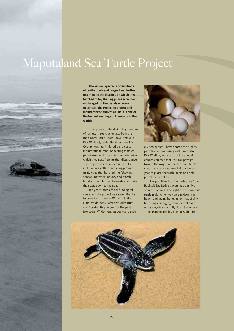### Maputaland Sea Turtle Project



**The annual spectacle of hundreds of Leatherback and Loggerhead turtles returning to the beaches on which they hatched to lay their eggs has remained unchanged for thousands of years. In concert, the Project to protect and monitor these ancient animals is one of the longest running such projects in the world!**

In response to the dwindling numbers of turtles, in 1963, scientists from the then-Natal Parks Board (now Ezemvelo KZN Wildlife), under the direction of Dr George Hughes, initiated a project to monitor the number of nesting females per season, and to protect the beaches on which they nest from further disturbance. The project was expanded in 1971 to include data collection on Loggerhead turtle eggs that hatched the following season. Between January and March, hundreds hatch from the nests and make their way down to the sea.

Ten years later, official funding fell away, and the project was saved thanks to donations from the World Wildlife Fund, Wilderness Safaris Wildlife Trust and Rocktail Bay Lodge. For the past few years, Wilderness guides – and their



excited guests – have shared the nightly patrols and monitoring with Ezemvelo KZN Wildlife, while part of the annual concession fees that Rocktail pays go toward the wages of the seasonal turtle scouts who are employed at this time of year to guard the turtle nests and help patrol the beaches.

The publicity that the turtles get from Rocktail Bay Lodge guests has positive spin-offs as well. The sight of an enormous turtle making her way up and down the beach and laying her eggs, or that of tiny hatchlings emerging from the wet sand and struggling manfully down to the sea – these are incredibly moving sights that

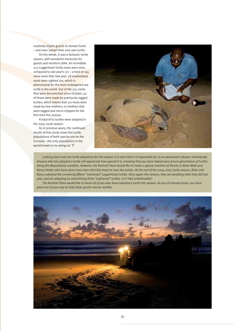routinely inspire guests to donate funds – and even 'adopt' their very own turtle.

On the whole, it was a fantastic turtle season, with wonderful memories for guests and monitors alike. An incredible 275 Loggerhead Turtle nests were seen, compared to last year's 171 – a total of 104 more nests than last year. 78 Leatherback nests were sighted too, which is phenomenal for the most endangered sea turtle in the world. Out of the 353 nests that were documented since October, 42 of those were made by previously tagged turtles, which means that 311 nests were made by new mothers, or mothers that were tagged and micro-chipped for the first time this season.

A total of 61 turtles were adopted in the 2005-2006 season.

As in previous years, the continued results of this study show that turtle populations of both species are on the increase – the only populations in the world known to be doing so!  $\tilde{\Upsilon}$ 



*Looking back over our turtle adoptions for this season it is clear that it is impossible for us to award each adopter individually. Anyone who has adopted a turtle will appreciate how special it is, knowing that you have helped save future generations of turtles along the Maputaland coastline. However, the Rocktail Team would like to make a special mention of thanks to Brian Malk and Nancy Heitel, who have done more than their fair share to save the turtles. At the end of the 2004-2005 turtle season, Brian and Nancy adopted the remaining fifteen "orphaned" Loggerhead turtles. Once again this season, they are doubling what they did last year, and are adopting an astonishing thirty "orphaned" turtles. Isn't that unbelievable?*

*The Rocktail Team would like to thank all of you who have adopted a turtle this season. As you all already know, you have gone out of your way to help these gentle marine reptiles.*

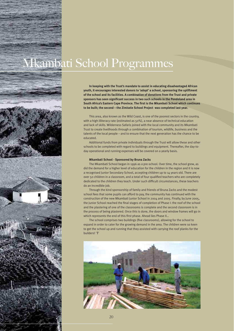### Mkambati School Programmes



This area, also known as the Wild Coast, is one of the poorest sectors in the country, with a high illiteracy rate (estimated as 50%), a near absence of technical education and lack of skills. Wilderness Safaris joined with the local community and its Mkambati Trust to create livelihoods through a combination of tourism, wildlife, business and the talents of the local people – and to ensure that the next generation has the chance to be educated.

Additional funds from private individuals through the Trust will allow these and other schools to be completed with regard to buildings and equipment. Thereafter, the day-today operational and running expenses will be covered on a yearly basis.

#### **Mkambati School - Sponsored by Bruna Zacks**

The Mkambati School began in 1996 as a pre-school. Over time, the school grew, as did the demand for a higher level of education for the children in the region and it is now a recognised Junior Secondary School, accepting children up to 14 years old. There are over 50 children in a classroom, and a total of four qualified teachers who are completely dedicated to the children they teach. Under such difficult circumstances, these teachers do an incredible job.

Through the kind sponsorship of family and friends of Bruna Zacks and the modest school fees that some pupils can afford to pay, the community has continued with the construction of the new Mkambati Junior School in 2004 and 2005. Finally, by June 2005, the Junior School reached the final stages of completion of Phase I: the roof of the school and the plastering of one of the classrooms is complete and the second classroom is in the process of being plastered. Once this is done, the doors and window frames will go in which represents the end of this first phase. Ahead lies Phase II...

The school comprises two buildings (five classrooms), allowing for the school to expand in order to cater for the growing demand in the area. The children were so keen to get the school up and running that they assisted with carrying the roof planks for the builders!

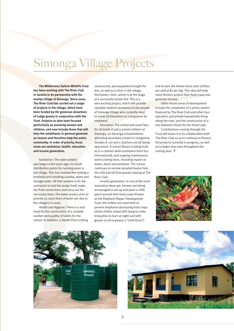### Simonga Village Projects

**The Wilderness Safaris Wildlife Trust has been working with The River Club in Zambia in its partnership with the nearby village of Simonga. Since 2000, The River Club has carried out a range of projects in the village, which have been funded by the generous donations of Lodge guests in conjunction with the Trust. Projects to date have focused particularly on assisting women and children, and now include those that will help the inhabitants in general generate an income and therefore help the entire community. In order of priority, focus areas are sanitation, health, education and income generation.**

Sanitation: The water project was begun a few years ago: to install distribution points for running water in the village. This has involved the sinking a borehole and installing a pump, pipes and storage tanks. All that remains is for the contractor to test the pump itself, make the final connections and carry out the necessary tests. The water project aims to provide 50 0000 litres of water per day to the villagers in 2006.

Health and Hygiene: There is a real need for the construction of a suitable number and quality of toilets for the school. In addition, a Health Post is being constructed, and equipment bought for this, as well as a clinic in the village, the Kramer Clinic, which is at the stage of a successful tender bid. This is a very exciting project, which will provide valuable medical assistance to the people of Simonga Village who currently need to travel 18 kilometres to Livingstone for treatment.

Education: The school and exam fees for all Grade 8 and 9 school children at Simonga, 20 Simonga schoolchildren attending secondary school in Livingstone (Grades 8–12) and 5 teachers are all being sponsored. A school library is being built, as is a canteen (with assistance from Sun International), and ongoing maintenance work is being done, including repairs to desks, doors and windows. The school continues to receive donated books from the USA and UK from guests staying at The River Club.

Income generation: In one of the most innovative ideas yet, farmers are being encouraged to set up and plant a chilli patch around their food crops! Known as the Elephant Pepper Development Trust, the chillies are used both to prevent elephants destroying food crops (dried chillies mixed with dung to make briquettes to burn at night and with grease or oil to grease a "chilli fence")

and to earn the farmer extra cash (chillies are sold at \$1 per kg). This idea will help more farmers protect their food crops and generate income.

Other recent areas of development include the completion of a police station financed by The River Club and other tour operators and private households living along the river, and the construction of a two bedroom house for the Head Lady.

Contributions coming through the Trust will assist it in its collaboration with The River Club so as to continue to finance the projects currently in progress, as well as to begin new ones throughout the coming year.





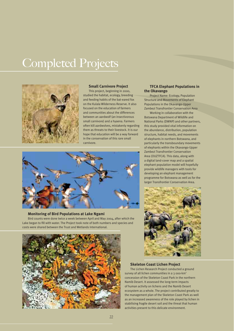### Completed Projects



#### **Small Carnivore Project**

This project, beginning in 2000, studied the habitat, ecology, breeding and feeding habits of the bat-eared fox on the Kulala Wilderness Reserve. It also focused on the education of farmers and communities about the differences between an aardwolf (an insectivorous small carnivore) and a hyaena. Farmers often kill aardwolves, mistakenly regarding them as threats to their livestock. It is our hope that education will be a way forward in the conservation of this rare small carnivore.



#### **Monitoring of Bird Populations at Lake Ngami**

Bird counts were done twice a week between April and May 2004, after which the Lake began to fill with water. The Project took note of both numbers and species and costs were shared between the Trust and Wetlands International.



#### **TFCA Elephant Populations in the Okavango**

Project Name: Ecology, Population Structure and Movements of Elephant Populations in the Okavango-Upper Zambezi Transfrontier Conservation Area

Working in collaboration with the Botswana Department of Wildlife and National Parks (DWNP) and other partners, this study provided vital information on the abundance, distribution, population structure, habitat needs, and movements of elephants in northern Botswana, and particularly the transboundary movements of elephants within the Okavango-Upper Zambezi Transfrontier Conservation Area (OUZTFCA). This data, along with a digital land-cover map and a spatial elephant population model will hopefully provide wildlife managers with tools for developing an elephant management programme for Botswana as well as for the larger Transfrontier Conservation Area.



#### **Skeleton Coast Lichen Project**

The Lichen Research Project conducted a ground survey of all lichen communities in a 3 000-km<sup>2</sup> concession of the Skeleton Coast Park in the northern Namib Desert. It assessed the long-term impacts of human activity on lichens and the Namib Desert ecosystem as a whole. The project contributed greatly to the management plan of the Skeleton Coast Park as well as an increased awareness of the role played by lichen in stabilising fragile desert soil and the threat that human activities present to this delicate environment.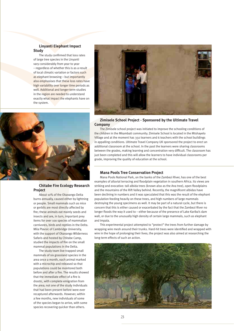#### **Linyanti Elephant Impact Study**

The study confirmed that loss rates of large tree species in the Linyanti vary considerably from year to year – regardless of whether this is as a result of local climatic variation or factors such as elephant browsing – but importantly also emphasises that these loss rates have high variability over longer time periods as well. Additional and longer-term studies in the region are needed to understand exactly what impact the elephants have on the system.



#### **Chitabe Fire Ecology Research Project**

About 10% of the Okavango Delta burns annually, caused either by lightning or people. Small mammals such as mice or gerbils are most directly affected by fire; these animals eat mainly seeds and insects and are, in turn, important prey items for over 100 species of mammalian carnivores, birds and reptiles in the Delta. Mila Plavsic of Cambridge University, with the support of Okavango Wilderness Safaris and hosted by Chitabe Camp, studied the impacts of fire on the small mammal populations in the Delta.

The study team live-trapped small mammals of six grassland species in the area once a month, each animal marked with a microchip and released so that populations could be monitored both before and after a fire. The results showed that the immediate effect of a fire is drastic, with complete emigration from the area; not one of the study individuals that had been present before were ever recaptured afterwards. However, within a few months, new individuals of some of the species began to arrive, with some species recovering quicker than others.



#### **Zimisele School Project - Sponsored by the Ultimate Travel Company**

The Zimisele school project was initiated to improve the schooling conditions of the children in the Mkambati community. Zimisele School is located in the Mtshayelo Village and at the moment has 350 learners and 6 teachers with the school buildings in appalling conditions. Ultimate Travel Company UK sponsored the project to erect an additional classroom at the school. In the past the learners were sharing classrooms between the grades, making learning and concentration very difficult. The classroom has just been completed and this will allow the learners to have individual classrooms per grade, improving the quality of education at the school.

#### **Mana Pools Tree Conservation Project**

Mana Pools National Park, on the banks of the Zambezi River, has one of the best examples of alluvial terracing and floodplain vegetation in southern Africa. Its views are striking and evocative: tall albida trees (known also as the Ana tree), open floodplains and the mountains of the Rift Valley behind. Recently, the magnificent albidas have been declining in numbers and it was speculated that this was the result of the elephant population feeding heavily on these trees, and high numbers of large mammals destroying the young specimens as well. It may be part of a natural cycle, but there is concern that this is either caused or exacerbated by the fact that the Zambezi River no longer floods the way it used to – either because of the presence of Lake Kariba's dam wall, or due to the unusually high density of certain large mammals, such as elephant and impala.

This experimental project attempted to "protect" the trees from further damage by wrapping wire mesh around their trunks. Hard-hit trees were identified and wrapped with wire in the hope of prolonging their lives; the project was also aimed at researching the long-term effects of such an action.

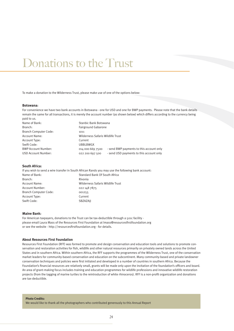### Donations to the Trust

To make a donation to the Wilderness Trust, please make use of one of the options below:

#### **Botswana:**

For convenience we have two bank accounts in Botswana - one for USD and one for BWP payments. Please note that the bank details remain the same for all transactions, it is merely the account number (as shown below) which differs according to the currency being paid to us.

| Name of Bank:                | Stanbic Bank Botswana             |                                          |
|------------------------------|-----------------------------------|------------------------------------------|
| Branch:                      | <b>Fairground Gabarone</b>        |                                          |
| <b>Branch Computer Code:</b> | 1011                              |                                          |
| <b>Account Name:</b>         | Wilderness Safaris Wildlife Trust |                                          |
| Account Type:                | Current                           |                                          |
| Swift Code:                  | UBBLBWGX                          |                                          |
| <b>BWP Account Number:</b>   | 014 000 669 7500                  | - send BWP payments to this account only |
| USD Account Number:          | 022 200 697 500                   | - send USD payments to this account only |
|                              |                                   |                                          |

#### **South Africa:**

|                              | If you wish to send a wire transfer in South African Rands you may use the following bank account: |  |
|------------------------------|----------------------------------------------------------------------------------------------------|--|
| Name of Bank:                | <b>Standard Bank Of South Africa</b>                                                               |  |
| Branch:                      | Rivonia                                                                                            |  |
| <b>Account Name:</b>         | Wilderness Safaris Wildlife Trust                                                                  |  |
| Account Number:              | 022 148 7875                                                                                       |  |
| <b>Branch Computer Code:</b> | 001255                                                                                             |  |
| Account Type:                | Current                                                                                            |  |
| Swift Code:                  | SBZAZAII                                                                                           |  |

#### **Maine Bank:**

For American taxpayers, donations to the Trust can be tax-deductible through a 501c facility please email Laura Mass of the Resources First Foundation at Imass@resourcesfirstfoundation.org or see the website - http://resourcesfirstfoundation.org - for details.

#### **About Resources First Foundation**

Resources First Foundation (RFF) was formed to promote and design conservation and education tools and solutions to promote conservation and restoration activities for fish, wildlife and other natural resources primarily on privately owned lands across the United States and in southern Africa. Within southern Africa, the RFF supports the programmes of the Wilderness Trust, one of the conservation market leaders for community-based conservation and education on the subcontinent. Many community-based and private landowner conservation techniques and policies were first initiated and developed in a number of countries in southern Africa. Because the Foundation's financial resources are relatively small, grants will be made only upon the invitation of the foundation's officers and board. An area of grant-making focus includes training and education programmes for wildlife professions and innovative wildlife restoration projects (from the tagging of marine turtles to the reintroduction of white rhinoceros). RFF is a non-profit organization and donations are tax-deductible.

#### **Photo Credits:**

We would like to thank all the photographers who contributed generously to this Annual Report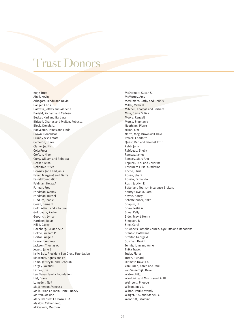### Trust Donors

2032 Trust Abell, Kevin Arbogast, Hindu and David Badger, Chris Baldwin, Jeffrey and Marlene Baright, Richard and Carleen Becker, Karl and Barbara Bidwell, Charles and Mullen, Rebecca Block, Donald L. Bodycomb, James and Linda Brown, Donaldson Bruna Zacks Estate Cameron, Steve Clarke, Judith ColorPress Crofton, Nigel Curry, William and Rebecca Decker, Leisa Definitive Africa Downey, John and Janis Faber, Margaret and Pierre Farrell Foundation Feldman, Helga A Forman, Fred Friedman, Manny Friedman, Russel Fundura, Jeanie Gersh, Bernard Gold, Alan J. and Rita Sue Goldbaum, Rachel Goodrich, Lyman Harrison, Julian Hill, J. Casey Hochberg, L.J. and Sue Holme, Richard P. Horton, Angela Howard, Andrew Jackson, Thomas A. Jewett, Jane B. Kelly, Bob, President San Diego Foundation Kinschner, Agnes and Ed Lamb, Jeffrey D. and Deborah Largay, Roland F. Latzke, Ute Leo Nevas Family Foundation List, Diana Lumsden, Neil Macpherson, Vanessa Malk, Brian Colman; Heitel, Nancy Marron, Maxine Mary DeForest Cardoza, CTA Maslow, Catherine C. McCulloch, Malcolm

McDermott, Susan S. McMurrey, Amy McNumara, Cathy and Dennis Miller, Michael Mitchell, Thomas and Barbara Mize, Gayle Gillies Moore, Randall Morse, Stephanie Neethling, Pierre Nixon, Kim North, Meg, Brownwell Travel Powell, Charlotte Quast, Karl and Baerbel TTEE Rabb, John Rabideau, Shelly Ramsay, James Ramsey, Mary Ann Repucci, Dick and Christine Resources First Foundation Roche, Chris Rosen, Shani Rosete, Fernando Rush, Jacklyn E. Safari and Tourism Insurance Brokers Santry-Covello, Carol Sayne, Nancy Schaffelhuber, Anke Shapiro, H Shaw Leslie A Shea, Kelly Sidel, May & Henry Simpson, B Sing, Carol St. Anne's Catholic Church, 248 Gifts and Donations Stanbic, Botswana Straitor, George A Susman, David Tennis, John and Anne Thika Travel Tudor, Fiona Turen, Richard Ultimate Travel Co Van Buren, Karen and Paul van Smeerdijk, Dave Walker, Hilton Ward, Mr. and Mrs. Harold A. III Weinberg, Phoebe Wilson, Judy L. Wilton, Paul & Wendy Winget, S.S. and Stanek, C. Woodruff, Lisaminh